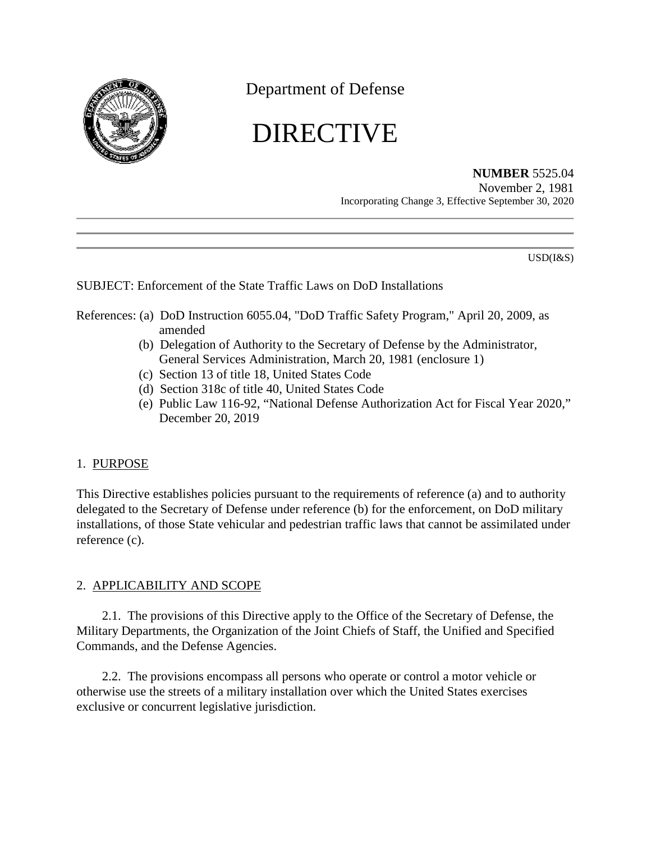

Department of Defense

# DIRECTIVE

# **NUMBER** 5525.04

November 2, 1981 Incorporating Change 3, Effective September 30, 2020

USD(I&S)

# SUBJECT: Enforcement of the State Traffic Laws on DoD Installations

# References: (a) DoD Instruction 6055.04, "DoD Traffic Safety Program," April 20, 2009, as amended

- (b) Delegation of Authority to the Secretary of Defense by the Administrator, General Services Administration, March 20, 1981 (enclosure 1)
- (c) Section 13 of title 18, United States Code
- (d) Section 318c of title 40, United States Code
- (e) Public Law 116-92, "National Defense Authorization Act for Fiscal Year 2020," December 20, 2019

### 1. PURPOSE

This Directive establishes policies pursuant to the requirements of reference (a) and to authority delegated to the Secretary of Defense under reference (b) for the enforcement, on DoD military installations, of those State vehicular and pedestrian traffic laws that cannot be assimilated under reference (c).

# 2. APPLICABILITY AND SCOPE

2.1. The provisions of this Directive apply to the Office of the Secretary of Defense, the Military Departments, the Organization of the Joint Chiefs of Staff, the Unified and Specified Commands, and the Defense Agencies.

2.2. The provisions encompass all persons who operate or control a motor vehicle or otherwise use the streets of a military installation over which the United States exercises exclusive or concurrent legislative jurisdiction.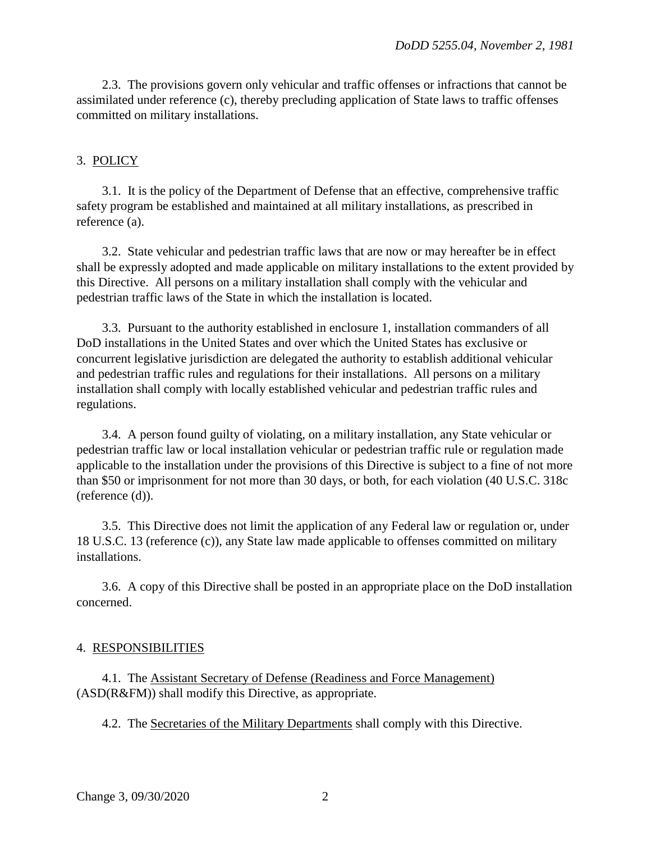2.3. The provisions govern only vehicular and traffic offenses or infractions that cannot be assimilated under reference (c), thereby precluding application of State laws to traffic offenses committed on military installations.

#### 3. POLICY

3.1. It is the policy of the Department of Defense that an effective, comprehensive traffic safety program be established and maintained at all military installations, as prescribed in reference (a).

3.2. State vehicular and pedestrian traffic laws that are now or may hereafter be in effect shall be expressly adopted and made applicable on military installations to the extent provided by this Directive. All persons on a military installation shall comply with the vehicular and pedestrian traffic laws of the State in which the installation is located.

3.3. Pursuant to the authority established in enclosure 1, installation commanders of all DoD installations in the United States and over which the United States has exclusive or concurrent legislative jurisdiction are delegated the authority to establish additional vehicular and pedestrian traffic rules and regulations for their installations. All persons on a military installation shall comply with locally established vehicular and pedestrian traffic rules and regulations.

3.4. A person found guilty of violating, on a military installation, any State vehicular or pedestrian traffic law or local installation vehicular or pedestrian traffic rule or regulation made applicable to the installation under the provisions of this Directive is subject to a fine of not more than \$50 or imprisonment for not more than 30 days, or both, for each violation (40 U.S.C. 318c (reference (d)).

3.5. This Directive does not limit the application of any Federal law or regulation or, under 18 U.S.C. 13 (reference (c)), any State law made applicable to offenses committed on military installations.

3.6. A copy of this Directive shall be posted in an appropriate place on the DoD installation concerned.

#### 4. RESPONSIBILITIES

4.1. The Assistant Secretary of Defense (Readiness and Force Management) (ASD(R&FM)) shall modify this Directive, as appropriate.

4.2. The Secretaries of the Military Departments shall comply with this Directive.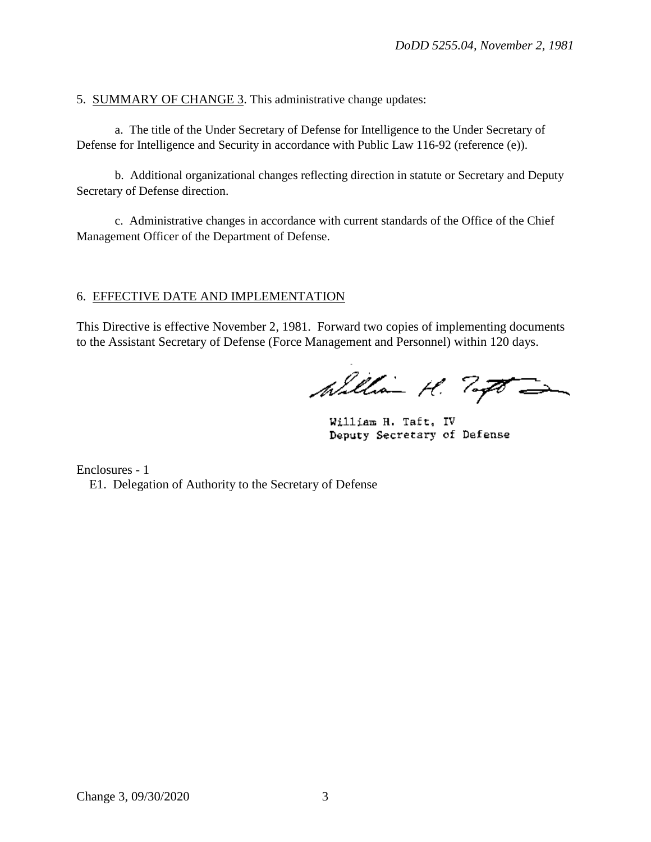5. SUMMARY OF CHANGE 3. This administrative change updates:

 a. The title of the Under Secretary of Defense for Intelligence to the Under Secretary of Defense for Intelligence and Security in accordance with Public Law 116-92 (reference (e)).

 b. Additional organizational changes reflecting direction in statute or Secretary and Deputy Secretary of Defense direction.

 c. Administrative changes in accordance with current standards of the Office of the Chief Management Officer of the Department of Defense.

### 6. EFFECTIVE DATE AND IMPLEMENTATION

This Directive is effective November 2, 1981. Forward two copies of implementing documents to the Assistant Secretary of Defense (Force Management and Personnel) within 120 days.

William H. Tagt =

William H. Taft, IV Deputy Secretary of Defense

Enclosures - 1 E1. Delegation of Authority to the Secretary of Defense